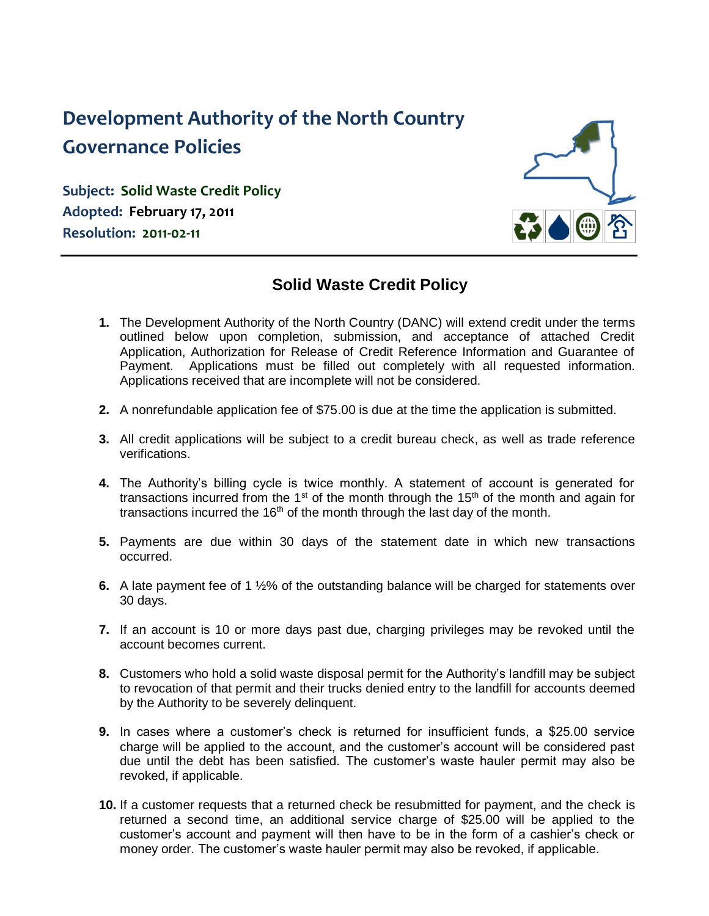# **Development Authority of the North Country Governance Policies**

**Subject: Solid Waste Credit Policy Adopted: February 17, 2011 Resolution: 2011-02-11**



## **Solid Waste Credit Policy**

- **1.** The Development Authority of the North Country (DANC) will extend credit under the terms outlined below upon completion, submission, and acceptance of attached Credit Application, Authorization for Release of Credit Reference Information and Guarantee of Payment. Applications must be filled out completely with all requested information. Applications received that are incomplete will not be considered.
- **2.** A nonrefundable application fee of \$75.00 is due at the time the application is submitted.
- **3.** All credit applications will be subject to a credit bureau check, as well as trade reference verifications.
- **4.** The Authority's billing cycle is twice monthly. A statement of account is generated for transactions incurred from the 1<sup>st</sup> of the month through the 15<sup>th</sup> of the month and again for transactions incurred the  $16<sup>th</sup>$  of the month through the last day of the month.
- **5.** Payments are due within 30 days of the statement date in which new transactions occurred.
- **6.** A late payment fee of 1 ½% of the outstanding balance will be charged for statements over 30 days.
- **7.** If an account is 10 or more days past due, charging privileges may be revoked until the account becomes current.
- **8.** Customers who hold a solid waste disposal permit for the Authority's landfill may be subject to revocation of that permit and their trucks denied entry to the landfill for accounts deemed by the Authority to be severely delinquent.
- **9.** In cases where a customer's check is returned for insufficient funds, a \$25.00 service charge will be applied to the account, and the customer's account will be considered past due until the debt has been satisfied. The customer's waste hauler permit may also be revoked, if applicable.
- **10.** If a customer requests that a returned check be resubmitted for payment, and the check is returned a second time, an additional service charge of \$25.00 will be applied to the customer's account and payment will then have to be in the form of a cashier's check or money order. The customer's waste hauler permit may also be revoked, if applicable.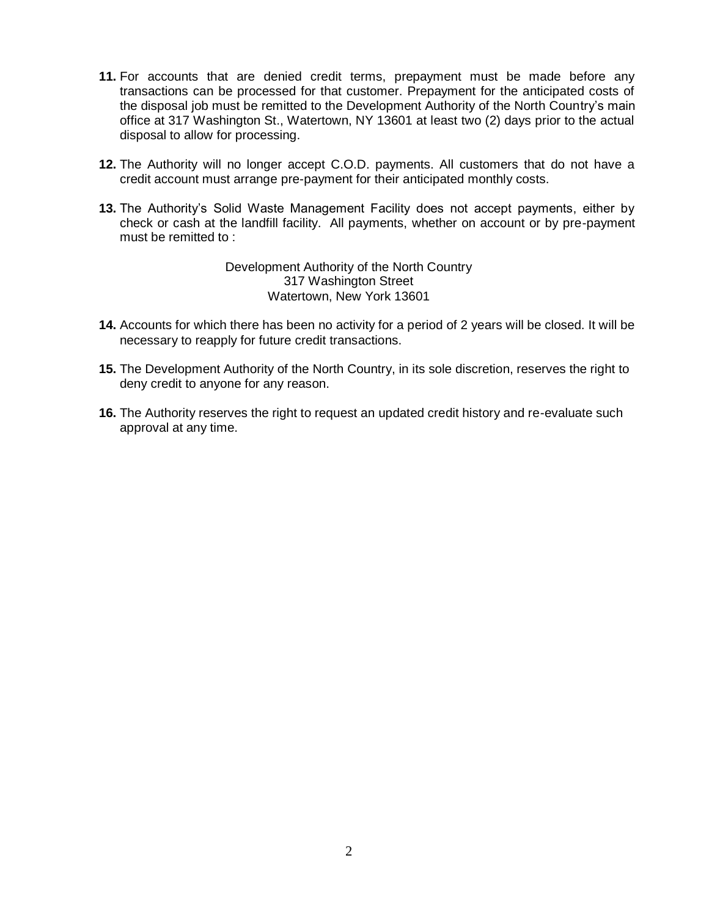- **11.** For accounts that are denied credit terms, prepayment must be made before any transactions can be processed for that customer. Prepayment for the anticipated costs of the disposal job must be remitted to the Development Authority of the North Country's main office at 317 Washington St., Watertown, NY 13601 at least two (2) days prior to the actual disposal to allow for processing.
- **12.** The Authority will no longer accept C.O.D. payments. All customers that do not have a credit account must arrange pre-payment for their anticipated monthly costs.
- **13.** The Authority's Solid Waste Management Facility does not accept payments, either by check or cash at the landfill facility. All payments, whether on account or by pre-payment must be remitted to :

Development Authority of the North Country 317 Washington Street Watertown, New York 13601

- **14.** Accounts for which there has been no activity for a period of 2 years will be closed. It will be necessary to reapply for future credit transactions.
- **15.** The Development Authority of the North Country, in its sole discretion, reserves the right to deny credit to anyone for any reason.
- **16.** The Authority reserves the right to request an updated credit history and re-evaluate such approval at any time.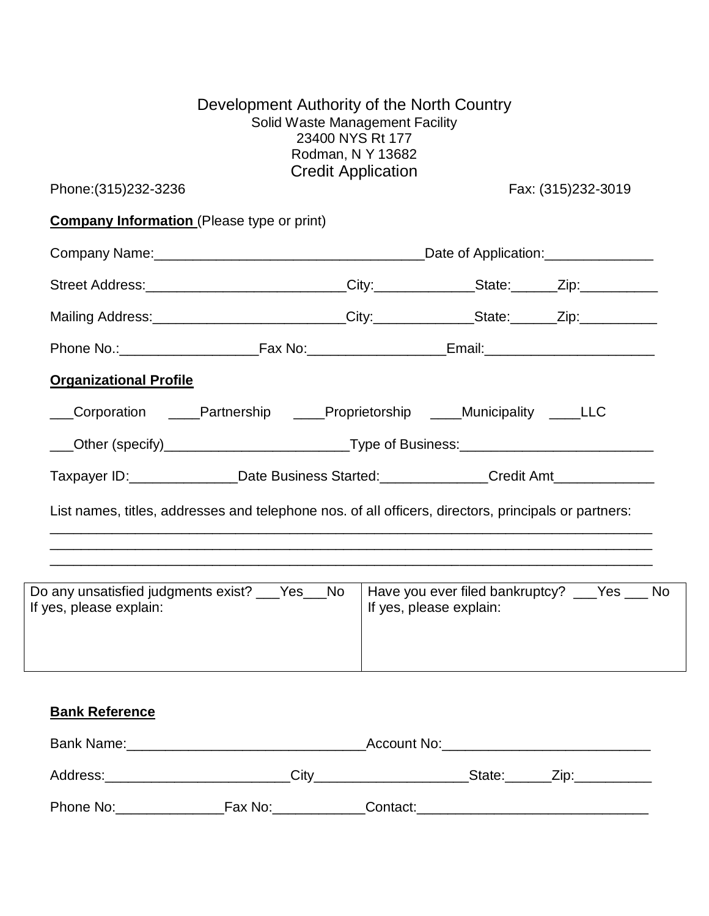| Phone: (315) 232-3236         |                                                                                                      | <b>Credit Application</b> | Fax: (315)232-3019                             |
|-------------------------------|------------------------------------------------------------------------------------------------------|---------------------------|------------------------------------------------|
|                               | <b>Company Information</b> (Please type or print)                                                    |                           |                                                |
|                               |                                                                                                      |                           |                                                |
|                               | Street Address:___________________________City:_____________State:______Zip:___________              |                           |                                                |
|                               | Mailing Address: ___________________________City:______________State:_______Zip:___________________  |                           |                                                |
|                               |                                                                                                      |                           |                                                |
| <b>Organizational Profile</b> |                                                                                                      |                           |                                                |
|                               | Corporation ____Partnership ____Proprietorship ____Municipality ____LLC                              |                           |                                                |
|                               | ___Other (specify)____________________________Type of Business:________________________              |                           |                                                |
|                               | Taxpayer ID:________________Date Business Started:______________Credit Amt_____________              |                           |                                                |
|                               | List names, titles, addresses and telephone nos. of all officers, directors, principals or partners: |                           |                                                |
|                               | Do any unsatisfied judgments exist? ___ Yes___ No                                                    |                           | Have you ever filed bankruptcy? ___ Yes ___ No |

#### **Bank Reference**

| Bank Name: |         | Account No: |        |      |
|------------|---------|-------------|--------|------|
| Address:   | Citv    |             | State: | Zip: |
| Phone No:  | Fax No: | Contact:    |        |      |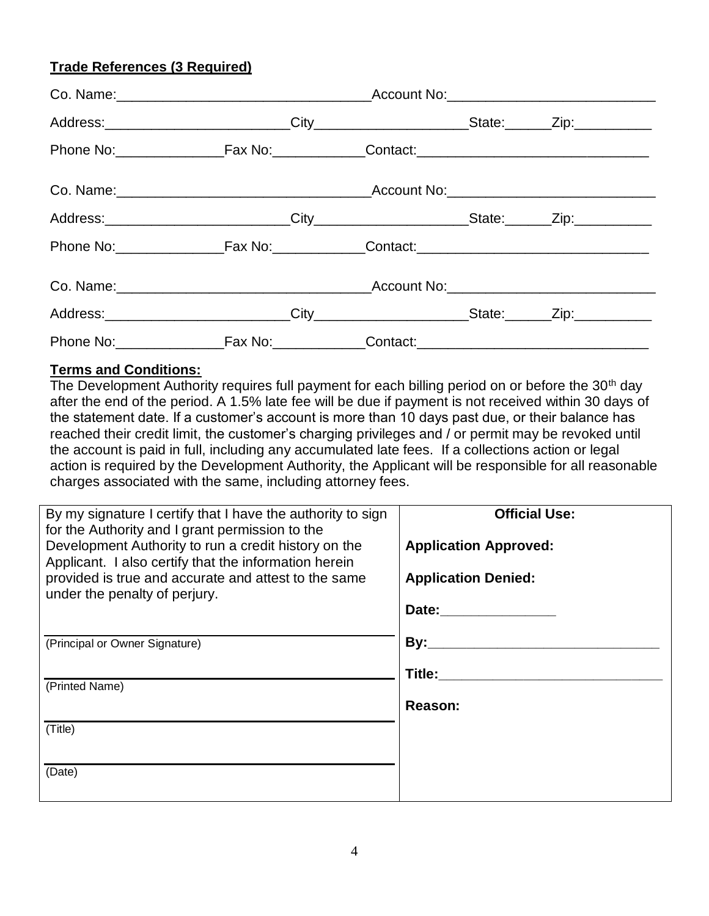### **Trade References (3 Required)**

#### **Terms and Conditions:**

The Development Authority requires full payment for each billing period on or before the 30<sup>th</sup> day after the end of the period. A 1.5% late fee will be due if payment is not received within 30 days of the statement date. If a customer's account is more than 10 days past due, or their balance has reached their credit limit, the customer's charging privileges and / or permit may be revoked until the account is paid in full, including any accumulated late fees. If a collections action or legal action is required by the Development Authority, the Applicant will be responsible for all reasonable charges associated with the same, including attorney fees.

| <b>Official Use:</b>         |
|------------------------------|
| <b>Application Approved:</b> |
| <b>Application Denied:</b>   |
| Date:                        |
| By:                          |
| Title:                       |
|                              |
| Reason:                      |
|                              |
|                              |
|                              |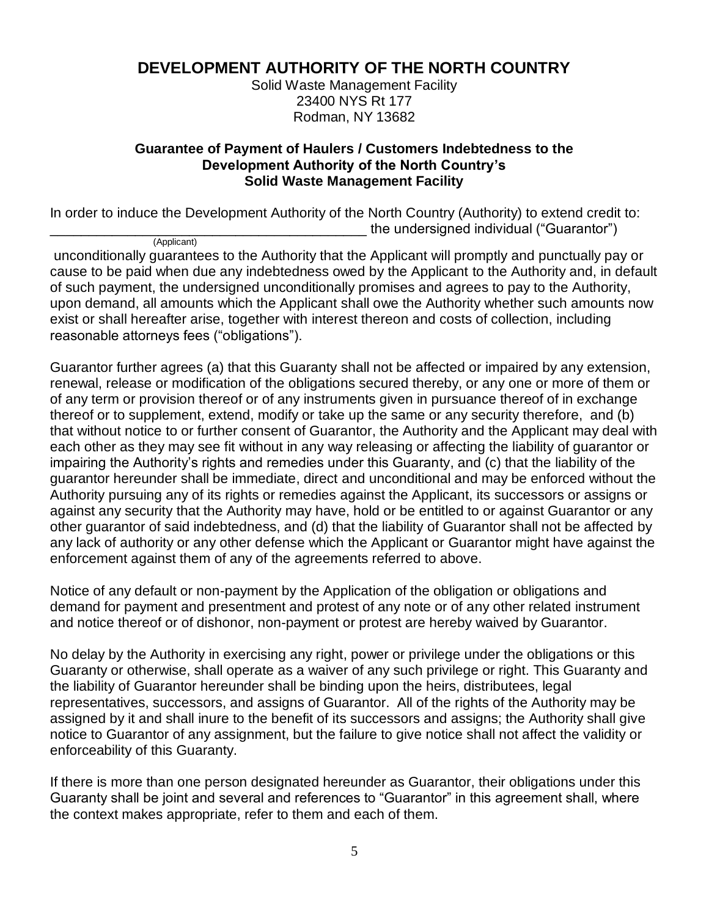## **DEVELOPMENT AUTHORITY OF THE NORTH COUNTRY**

Solid Waste Management Facility 23400 NYS Rt 177 Rodman, NY 13682

#### **Guarantee of Payment of Haulers / Customers Indebtedness to the Development Authority of the North Country's Solid Waste Management Facility**

In order to induce the Development Authority of the North Country (Authority) to extend credit to: \_\_\_\_\_\_\_\_\_\_\_\_\_\_\_\_\_\_\_\_\_\_\_\_\_\_\_\_\_\_\_\_\_\_\_\_\_\_\_\_\_ the undersigned individual ("Guarantor")

 (Applicant) unconditionally guarantees to the Authority that the Applicant will promptly and punctually pay or cause to be paid when due any indebtedness owed by the Applicant to the Authority and, in default of such payment, the undersigned unconditionally promises and agrees to pay to the Authority, upon demand, all amounts which the Applicant shall owe the Authority whether such amounts now exist or shall hereafter arise, together with interest thereon and costs of collection, including reasonable attorneys fees ("obligations").

Guarantor further agrees (a) that this Guaranty shall not be affected or impaired by any extension, renewal, release or modification of the obligations secured thereby, or any one or more of them or of any term or provision thereof or of any instruments given in pursuance thereof of in exchange thereof or to supplement, extend, modify or take up the same or any security therefore, and (b) that without notice to or further consent of Guarantor, the Authority and the Applicant may deal with each other as they may see fit without in any way releasing or affecting the liability of guarantor or impairing the Authority's rights and remedies under this Guaranty, and (c) that the liability of the guarantor hereunder shall be immediate, direct and unconditional and may be enforced without the Authority pursuing any of its rights or remedies against the Applicant, its successors or assigns or against any security that the Authority may have, hold or be entitled to or against Guarantor or any other guarantor of said indebtedness, and (d) that the liability of Guarantor shall not be affected by any lack of authority or any other defense which the Applicant or Guarantor might have against the enforcement against them of any of the agreements referred to above.

Notice of any default or non-payment by the Application of the obligation or obligations and demand for payment and presentment and protest of any note or of any other related instrument and notice thereof or of dishonor, non-payment or protest are hereby waived by Guarantor.

No delay by the Authority in exercising any right, power or privilege under the obligations or this Guaranty or otherwise, shall operate as a waiver of any such privilege or right. This Guaranty and the liability of Guarantor hereunder shall be binding upon the heirs, distributees, legal representatives, successors, and assigns of Guarantor. All of the rights of the Authority may be assigned by it and shall inure to the benefit of its successors and assigns; the Authority shall give notice to Guarantor of any assignment, but the failure to give notice shall not affect the validity or enforceability of this Guaranty.

If there is more than one person designated hereunder as Guarantor, their obligations under this Guaranty shall be joint and several and references to "Guarantor" in this agreement shall, where the context makes appropriate, refer to them and each of them.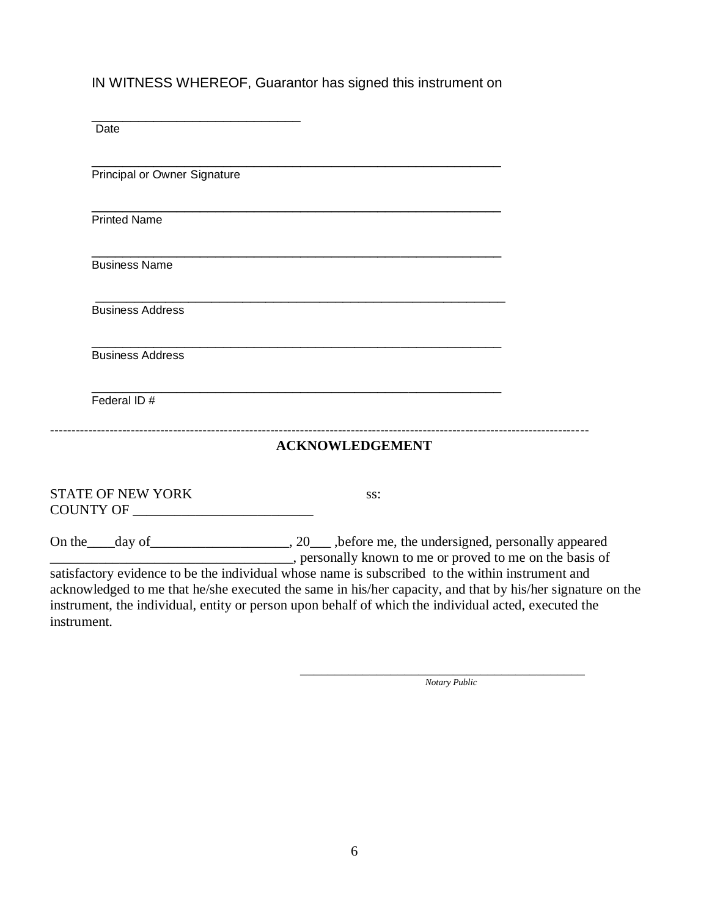IN WITNESS WHEREOF, Guarantor has signed this instrument on

| Date                         |                                                                                                                       |                                                           |
|------------------------------|-----------------------------------------------------------------------------------------------------------------------|-----------------------------------------------------------|
| Principal or Owner Signature |                                                                                                                       |                                                           |
| <b>Printed Name</b>          | <u> 1989 - Johann John Stoff, deutscher Stoffen und der Stoffen und der Stoffen und der Stoffen und der Stoffen</u>   |                                                           |
| <b>Business Name</b>         | <u> 1989 - Jan James James James James James James James James James James James James James James James James J</u>  |                                                           |
| <b>Business Address</b>      | <u> 1989 - Johann Barn, amerikan berkema dan berkema dalam berkema dalam berkema dalam berkema dalam berkema dala</u> |                                                           |
| <b>Business Address</b>      |                                                                                                                       |                                                           |
| Federal ID #                 |                                                                                                                       |                                                           |
|                              | <b>ACKNOWLEDGEMENT</b>                                                                                                |                                                           |
| <b>STATE OF NEW YORK</b>     | SS:                                                                                                                   |                                                           |
|                              |                                                                                                                       | representally known to me or proved to me on the basis of |

instrument, the individual, entity or person upon behalf of which the individual acted, executed the instrument.

> \_\_\_\_\_\_\_\_\_\_\_\_\_\_\_\_\_\_\_\_\_\_\_\_\_\_\_\_\_\_\_\_\_\_\_\_\_\_\_\_\_ *Notary Public*